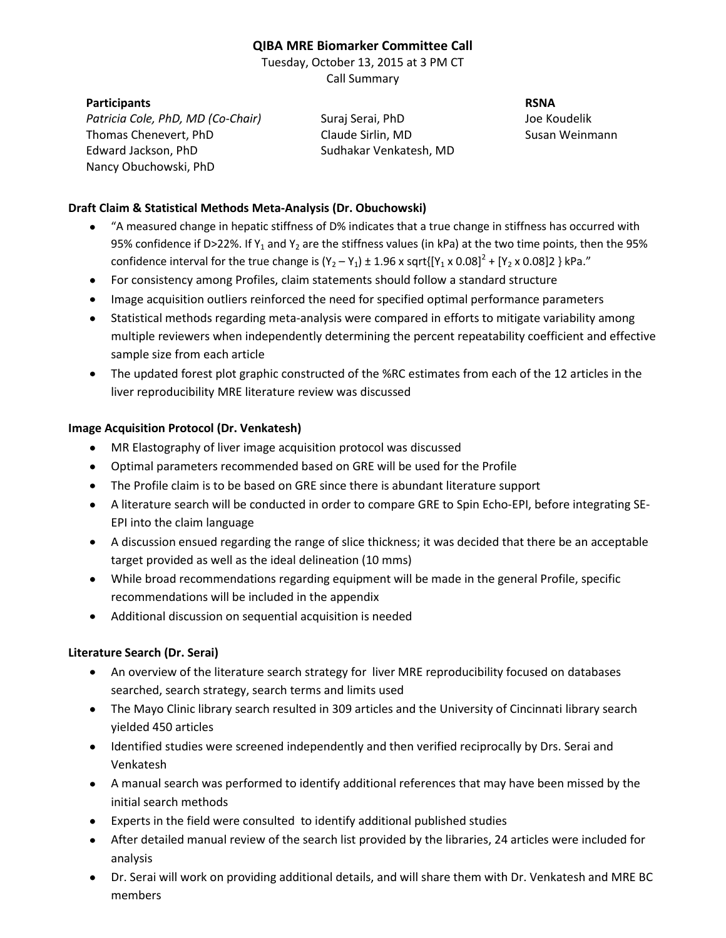# **QIBA MRE Biomarker Committee Call**

Tuesday, October 13, 2015 at 3 PM CT Call Summary

#### **Participants RSNA**

*Patricia Cole, PhD, MD (Co-Chair)* Suraj Serai, PhD Joe Koudelik Thomas Chenevert, PhD Claude Sirlin, MD Susan Weinmann Edward Jackson, PhD Sudhakar Venkatesh, MD Nancy Obuchowski, PhD

### **Draft Claim & Statistical Methods Meta-Analysis (Dr. Obuchowski)**

- "A measured change in hepatic stiffness of D% indicates that a true change in stiffness has occurred with 95% confidence if D>22%. If Y<sub>1</sub> and Y<sub>2</sub> are the stiffness values (in kPa) at the two time points, then the 95% confidence interval for the true change is  $(Y_2 - Y_1) \pm 1.96 \times \sqrt{Y_1 \times 0.08}^2 + [Y_2 \times 0.08]2$  } kPa."
- For consistency among Profiles, claim statements should follow a standard structure
- Image acquisition outliers reinforced the need for specified optimal performance parameters
- Statistical methods regarding meta-analysis were compared in efforts to mitigate variability among multiple reviewers when independently determining the percent repeatability coefficient and effective sample size from each article
- The updated forest plot graphic constructed of the %RC estimates from each of the 12 articles in the liver reproducibility MRE literature review was discussed

#### **Image Acquisition Protocol (Dr. Venkatesh)**

- MR Elastography of liver image acquisition protocol was discussed
- Optimal parameters recommended based on GRE will be used for the Profile
- The Profile claim is to be based on GRE since there is abundant literature support
- A literature search will be conducted in order to compare GRE to Spin Echo-EPI, before integrating SE-EPI into the claim language
- A discussion ensued regarding the range of slice thickness; it was decided that there be an acceptable target provided as well as the ideal delineation (10 mms)
- While broad recommendations regarding equipment will be made in the general Profile, specific recommendations will be included in the appendix
- Additional discussion on sequential acquisition is needed

## **Literature Search (Dr. Serai)**

- An overview of the literature search strategy for liver MRE reproducibility focused on databases searched, search strategy, search terms and limits used
- The Mayo Clinic library search resulted in 309 articles and the University of Cincinnati library search yielded 450 articles
- Identified studies were screened independently and then verified reciprocally by Drs. Serai and Venkatesh
- A manual search was performed to identify additional references that may have been missed by the initial search methods
- Experts in the field were consulted to identify additional published studies
- After detailed manual review of the search list provided by the libraries, 24 articles were included for analysis
- Dr. Serai will work on providing additional details, and will share them with Dr. Venkatesh and MRE BC members